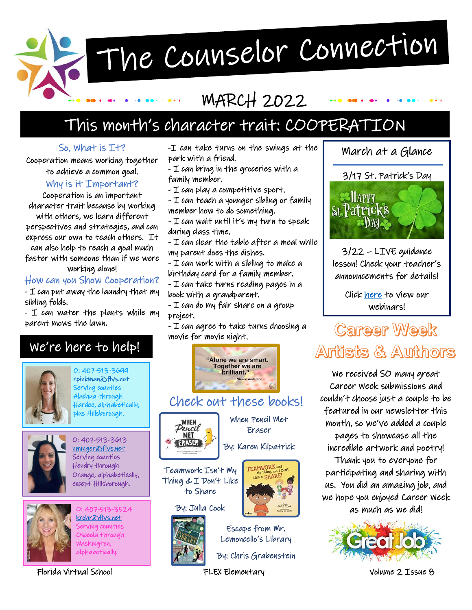# The Counselor Connection

## MARCH 2022

## This month's character trait: COOPERATION

#### So, What is It?

Cooperation means working together to achieve a common goal.

#### Why is it Important?

Cooperation is an important character trait because by working

with others, we learn different perspectives and strategies, and can express our own to teach others. It can also help to reach a goal much faster with someone than if we were

working alone!

#### How can you Show Cooperation?

- I can put away the laundry that my sibling folds.

- I can water the plants while my parent mows the lawn.

### We're here to help!



O: 407-513-3699 [rpinkman@flvs.net](mailto:rpinkman@flvs.net)  Serving counties Alachua through Hardee, alphabetically, plus Hillsborough.



O: 407-513-3613 [nminger@flvs.net](mailto:nminger@flvs.net)  Serving counties Hendry through Orange, alphabetically, except Hillsborough.



O: 407-513-3524 [krohr@flvs.net](mailto:krohr@flvs.net)  Serving counties Osceola through Washington, alphabetically.

Florida Virtual School FLEX Elementary Volume 2 Issue 8

-I can take turns on the swings at the park with a friend.

- I can bring in the groceries with a family member.
- I can play a competitive sport.
- I can teach a younger sibling or family member how to do something.
- I can wait until it's my turn to speak during class time.

- I can clear the table after a meal while my parent does the dishes.

- I can work with a sibling to make a birthday card for a family member.

- I can take turns reading pages in a book with a grandparent.

- I can do my fair share on a group project.

- I can agree to take turns choosing a movie for movie night.



Check out these books!



When Pencil Met Eraser

By: Karen Kilpatrick

d

Teamwork Isn't My Thing & I Don't Like to Share

By: Julia Cook



Escape from Mr. Lemoncello's Library

By: Chris Grabenstein

FLEX Elementary

3/17 St. Patrick's Day **SEHAPPY St Patricks**  $\mathbb{D}N$ 

March at a Glance

3/22 – LIVE guidance lesson! Check your teacher's announcements for details!

> Click [here](https://www.flvs.net/student-resources/flex/webinars-elementary) to view our webinars!

## **Career Week** Artists & Authors

We received SO many great Career Week submissions and couldn't choose just a couple to be featured in our newsletter this month, so we've added a couple pages to showcase all the incredible artwork and poetry! Thank you to everyone for

participating and sharing with us. You did an amazing job, and we hope you enjoyed Career Week as much as we did!

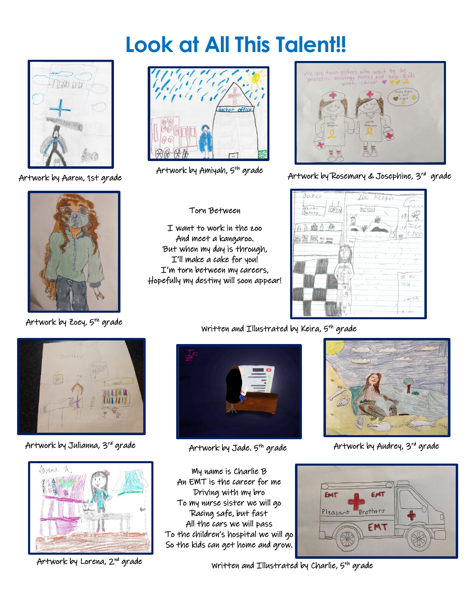## **Look at All This Talent!!**



Artwork by Aaron, 1st grade





Artwork by Amiyah, 5th grade



#### Torn Between

I want to work in the zoo And meet a kangaroo. But when my day is through, I'll make a cake for you! I'm torn between my careers, Hopefully my destiny will soon appear!



Artwork by Rosemary & Josephine, 3rd grade



Artwork by Julianna, 3rd grade



Artwork by Lorena, 2nd grade



My name is Charlie B An EMT is the career for me Driving with my bro To my nurse sister we will go Racing safe, but fast All the cars we will pass To the children's hospital we will go So the kids can get home and grow.

Artwork by Jade. 5<sup>th</sup> grade **Artwork by Audrey**, 3<sup>rd</sup> grade



Written and Illustrated by Charlie,  $5<sup>th</sup>$  grade

Artwork by Zoey, 5<sup>th</sup> grade Written and Illustrated by Keira, 5<sup>th</sup> grade